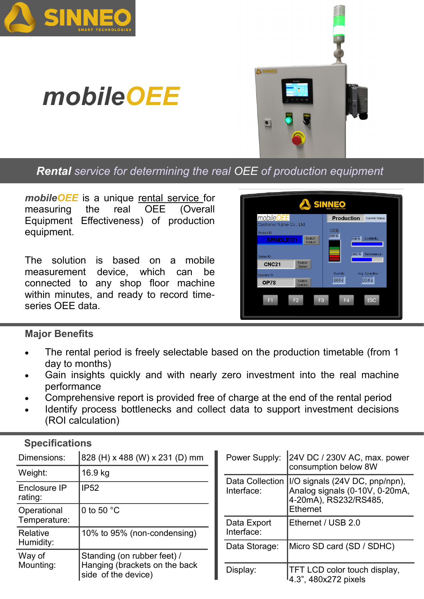





*Rental service for determining the real OEE of production equipment*

*mobileOEE* is a unique rental service for measuring the real OEE (Overall Equipment Effectiveness) of production equipment.

The solution is based on a mobile measurement device, which can be connected to any shop floor machine within minutes, and ready to record timeseries OEE data.



## **Major Benefits**

- The rental period is freely selectable based on the production timetable (from 1 day to months)
- Gain insights quickly and with nearly zero investment into the real machine performance
- Comprehensive report is provided free of charge at the end of the rental period
- Identify process bottlenecks and collect data to support investment decisions (ROI calculation)

| Dimensions:                 | 828 (H) x 488 (W) x 231 (D) mm                                                      | Interface:    | Power Supply: 24V DC / 230V AC, max. power<br>consumption below 8W                                          |  |  |
|-----------------------------|-------------------------------------------------------------------------------------|---------------|-------------------------------------------------------------------------------------------------------------|--|--|
| Weight:                     | 16.9 kg                                                                             |               |                                                                                                             |  |  |
| Enclosure IP<br>rating:     | <b>IP52</b>                                                                         |               | Data Collection   I/O signals (24V DC, pnp/npn),<br>Analog signals (0-10V, 0-20mA,<br>4-20mA), RS232/RS485, |  |  |
| Operational<br>Temperature: | 0 to 50 $°C$                                                                        |               | Ethernet                                                                                                    |  |  |
|                             |                                                                                     | Data Export   | Ethernet / USB 2.0                                                                                          |  |  |
| Relative<br>Humidity:       | 10% to 95% (non-condensing)                                                         | Interface:    |                                                                                                             |  |  |
|                             |                                                                                     | Data Storage: | Micro SD card (SD / SDHC)                                                                                   |  |  |
| Way of<br>Mounting:         | Standing (on rubber feet) /<br>Hanging (brackets on the back<br>side of the device) |               |                                                                                                             |  |  |
|                             |                                                                                     | Display:      | <b>TFT LCD color touch display,</b><br>4.3", 480x272 pixels                                                 |  |  |

## **Specifications**